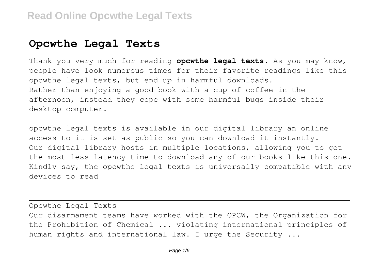## **Opcwthe Legal Texts**

Thank you very much for reading **opcwthe legal texts**. As you may know, people have look numerous times for their favorite readings like this opcwthe legal texts, but end up in harmful downloads. Rather than enjoying a good book with a cup of coffee in the afternoon, instead they cope with some harmful bugs inside their desktop computer.

opcwthe legal texts is available in our digital library an online access to it is set as public so you can download it instantly. Our digital library hosts in multiple locations, allowing you to get the most less latency time to download any of our books like this one. Kindly say, the opcwthe legal texts is universally compatible with any devices to read

Opcwthe Legal Texts Our disarmament teams have worked with the OPCW, the Organization for the Prohibition of Chemical ... violating international principles of human rights and international law. I urge the Security ...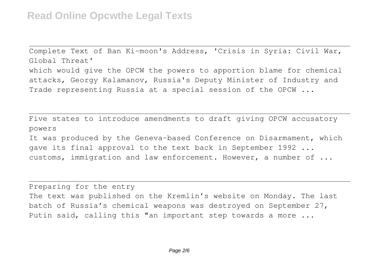Complete Text of Ban Ki-moon's Address, 'Crisis in Syria: Civil War, Global Threat' which would give the OPCW the powers to apportion blame for chemical attacks, Georgy Kalamanov, Russia's Deputy Minister of Industry and Trade representing Russia at a special session of the OPCW ...

Five states to introduce amendments to draft giving OPCW accusatory powers

It was produced by the Geneva-based Conference on Disarmament, which gave its final approval to the text back in September 1992 ... customs, immigration and law enforcement. However, a number of ...

Preparing for the entry The text was published on the Kremlin's website on Monday. The last batch of Russia's chemical weapons was destroyed on September 27, Putin said, calling this "an important step towards a more ...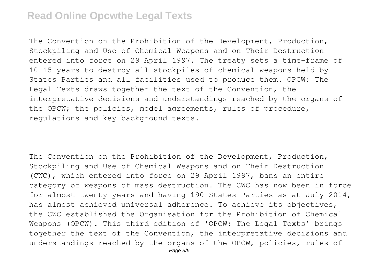## **Read Online Opcwthe Legal Texts**

The Convention on the Prohibition of the Development, Production, Stockpiling and Use of Chemical Weapons and on Their Destruction entered into force on 29 April 1997. The treaty sets a time-frame of 10 15 years to destroy all stockpiles of chemical weapons held by States Parties and all facilities used to produce them. OPCW: The Legal Texts draws together the text of the Convention, the interpretative decisions and understandings reached by the organs of the OPCW; the policies, model agreements, rules of procedure, regulations and key background texts.

The Convention on the Prohibition of the Development, Production, Stockpiling and Use of Chemical Weapons and on Their Destruction (CWC), which entered into force on 29 April 1997, bans an entire category of weapons of mass destruction. The CWC has now been in force for almost twenty years and having 190 States Parties as at July 2014, has almost achieved universal adherence. To achieve its objectives, the CWC established the Organisation for the Prohibition of Chemical Weapons (OPCW). This third edition of 'OPCW: The Legal Texts' brings together the text of the Convention, the interpretative decisions and understandings reached by the organs of the OPCW, policies, rules of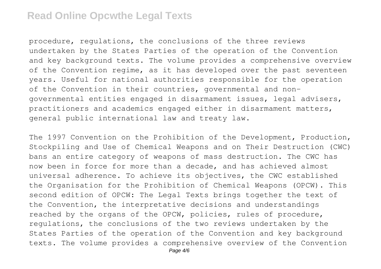## **Read Online Opcwthe Legal Texts**

procedure, regulations, the conclusions of the three reviews undertaken by the States Parties of the operation of the Convention and key background texts. The volume provides a comprehensive overview of the Convention regime, as it has developed over the past seventeen years. Useful for national authorities responsible for the operation of the Convention in their countries, governmental and nongovernmental entities engaged in disarmament issues, legal advisers, practitioners and academics engaged either in disarmament matters, general public international law and treaty law.

The 1997 Convention on the Prohibition of the Development, Production, Stockpiling and Use of Chemical Weapons and on Their Destruction (CWC) bans an entire category of weapons of mass destruction. The CWC has now been in force for more than a decade, and has achieved almost universal adherence. To achieve its objectives, the CWC established the Organisation for the Prohibition of Chemical Weapons (OPCW). This second edition of OPCW: The Legal Texts brings together the text of the Convention, the interpretative decisions and understandings reached by the organs of the OPCW, policies, rules of procedure, regulations, the conclusions of the two reviews undertaken by the States Parties of the operation of the Convention and key background texts. The volume provides a comprehensive overview of the Convention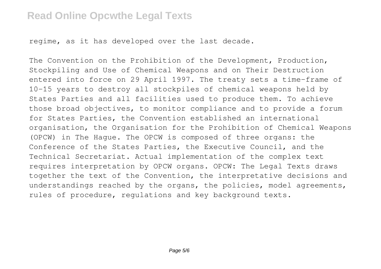## **Read Online Opcwthe Legal Texts**

regime, as it has developed over the last decade.

The Convention on the Prohibition of the Development, Production, Stockpiling and Use of Chemical Weapons and on Their Destruction entered into force on 29 April 1997. The treaty sets a time-frame of 10-15 years to destroy all stockpiles of chemical weapons held by States Parties and all facilities used to produce them. To achieve those broad objectives, to monitor compliance and to provide a forum for States Parties, the Convention established an international organisation, the Organisation for the Prohibition of Chemical Weapons (OPCW) in The Hague. The OPCW is composed of three organs: the Conference of the States Parties, the Executive Council, and the Technical Secretariat. Actual implementation of the complex text requires interpretation by OPCW organs. OPCW: The Legal Texts draws together the text of the Convention, the interpretative decisions and understandings reached by the organs, the policies, model agreements, rules of procedure, regulations and key background texts.